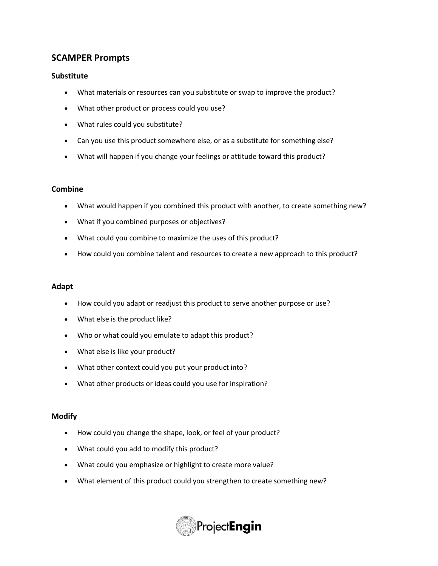# **SCAMPER Prompts**

## **Substitute**

- What materials or resources can you substitute or swap to improve the product?
- What other product or process could you use?
- What rules could you substitute?
- Can you use this product somewhere else, or as a substitute for something else?
- What will happen if you change your feelings or attitude toward this product?

### **Combine**

- What would happen if you combined this product with another, to create something new?
- What if you combined purposes or objectives?
- What could you combine to maximize the uses of this product?
- How could you combine talent and resources to create a new approach to this product?

### **Adapt**

- How could you adapt or readjust this product to serve another purpose or use?
- What else is the product like?
- Who or what could you emulate to adapt this product?
- What else is like your product?
- What other context could you put your product into?
- What other products or ideas could you use for inspiration?

#### **Modify**

- How could you change the shape, look, or feel of your product?
- What could you add to modify this product?
- What could you emphasize or highlight to create more value?
- What element of this product could you strengthen to create something new?